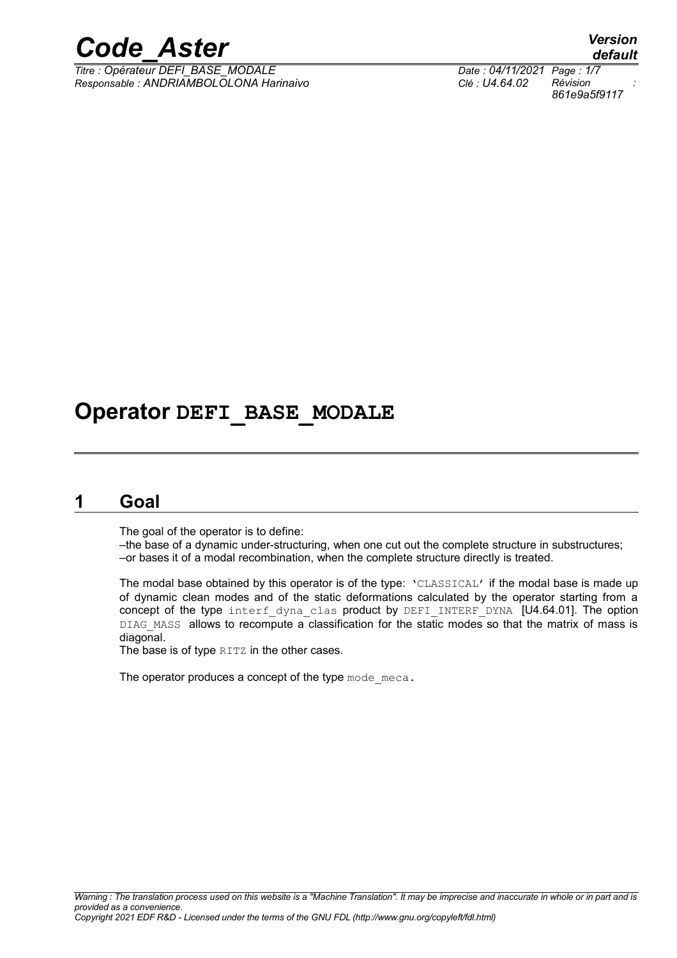

*Titre : Opérateur DEFI\_BASE\_MODALE Date : 04/11/2021 Page : 1/7 Responsable : ANDRIAMBOLOLONA Harinaivo Clé : U4.64.02 Révision :*

*default 861e9a5f9117*

# **Operator DEFI\_BASE\_MODALE**

# **1 Goal**

<span id="page-0-0"></span>The goal of the operator is to define:

–the base of a dynamic under-structuring, when one cut out the complete structure in substructures; –or bases it of a modal recombination, when the complete structure directly is treated.

The modal base obtained by this operator is of the type:  $\text{VCLASSICAL}$  if the modal base is made up of dynamic clean modes and of the static deformations calculated by the operator starting from a concept of the type interf dyna clas product by DEFI INTERF DYNA [U4.64.01]. The option DIAG MASS allows to recompute a classification for the static modes so that the matrix of mass is diagonal.

The base is of type RITZ in the other cases.

The operator produces a concept of the type mode meca.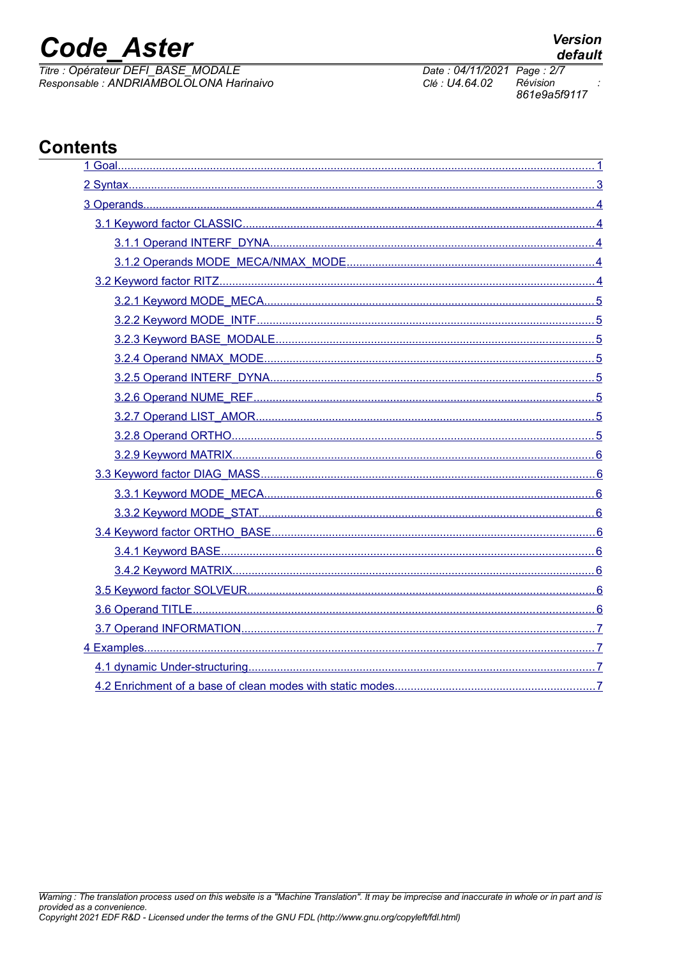# **Code Aster**

Titre : Opérateur DEFI\_BASE\_MODALE Responsable : ANDRIAMBOLOLONA Harinaivo

#### $n \nmid c$ Cont

| ents:                                                     |   |
|-----------------------------------------------------------|---|
|                                                           |   |
|                                                           |   |
|                                                           |   |
|                                                           |   |
|                                                           |   |
|                                                           |   |
|                                                           |   |
|                                                           |   |
|                                                           |   |
|                                                           |   |
|                                                           |   |
|                                                           |   |
|                                                           |   |
|                                                           |   |
|                                                           |   |
|                                                           |   |
|                                                           |   |
|                                                           |   |
|                                                           |   |
|                                                           |   |
|                                                           |   |
|                                                           |   |
|                                                           |   |
|                                                           |   |
|                                                           |   |
|                                                           |   |
|                                                           |   |
| 4.2 Enrichment of a base of clean modes with static modes | 7 |

Date: 04/11/2021 Page: 2/7 Clé : U4.64.02 Révision 861e9a5f9117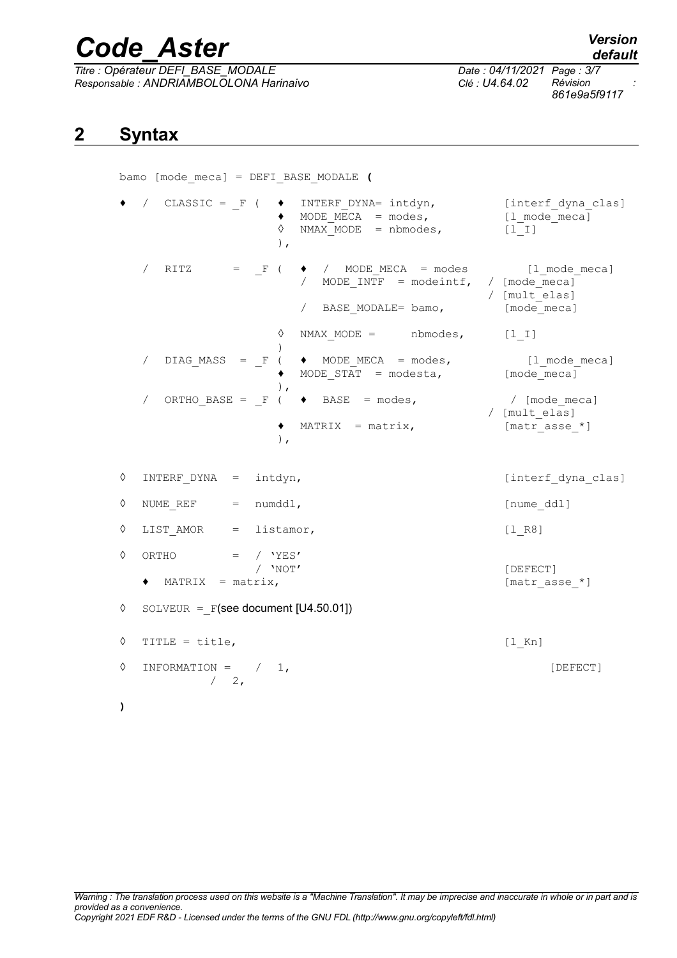*Titre : Opérateur DEFI\_BASE\_MODALE Date : 04/11/2021 Page : 3/7 Responsable : ANDRIAMBOLOLONA Harinaivo Clé : U4.64.02 Révision :*

*861e9a5f9117*

# <span id="page-2-0"></span>**2 Syntax**

bamo [mode\_meca] = DEFI\_BASE\_MODALE **(** / CLASSIC =  $F$  (  $\bullet$  INTERF DYNA= intdyn, [interf dyna clas]  $\uparrow$  MODE\_MECA = modes,  $[1$ \_mode\_meca]<br>  $\uparrow$  NMAX\_MODE = nbmodes.  $[1]$  I]  $NMAX$   $MODE$  = nbmodes,  $[1]$ ), / RITZ =  $_F$  (  $\bullet$  / MODE\_MECA = modes [1\_mode\_meca]<br>/ MODE INTF = modeintf, / [mode meca] / MODE INTF = modeintf, / [mult\_elas] / BASE MODALE= bamo, [mode\_meca]  $\Diamond$  NMAX MODE = nbmodes, [l\_I] ) DIAG\_MASS =  $F$  (  $\bullet$  MODE\_MECA = modes, [l\_mode\_meca]  $MODESTAT = modesta,$  [mode meca] ),  $O(RTHO$  BASE =  $F$  (  $\blacklozenge$  BASE = modes, / [mode meca] / [mult\_elas]  $\triangleleft$  MATRIX = matrix, [matr\_asse \*] ), ◊ INTERF\_DYNA = intdyn, [interf\_dyna\_clas]  $\Diamond$  NUMEREF = numddl, [numeddl]  $\Diamond$  LIST AMOR = listamor, [l R8]  $\begin{array}{ccc} \Diamond & \text{ORTHO} & = & / & 'YES' \\ & & / & 'NOT' \end{array}$ [DEFECT] ♦ MATRIX = matrix, [matr\_asse\_\*]  $\Diamond$  SOLVEUR = F(see document [U4.50.01])  $\Diamond$  TITLE = title,  $[1 \text{ Kn}]$ ◊ INFORMATION = / 1, [DEFECT]  $/ 2$ , **)**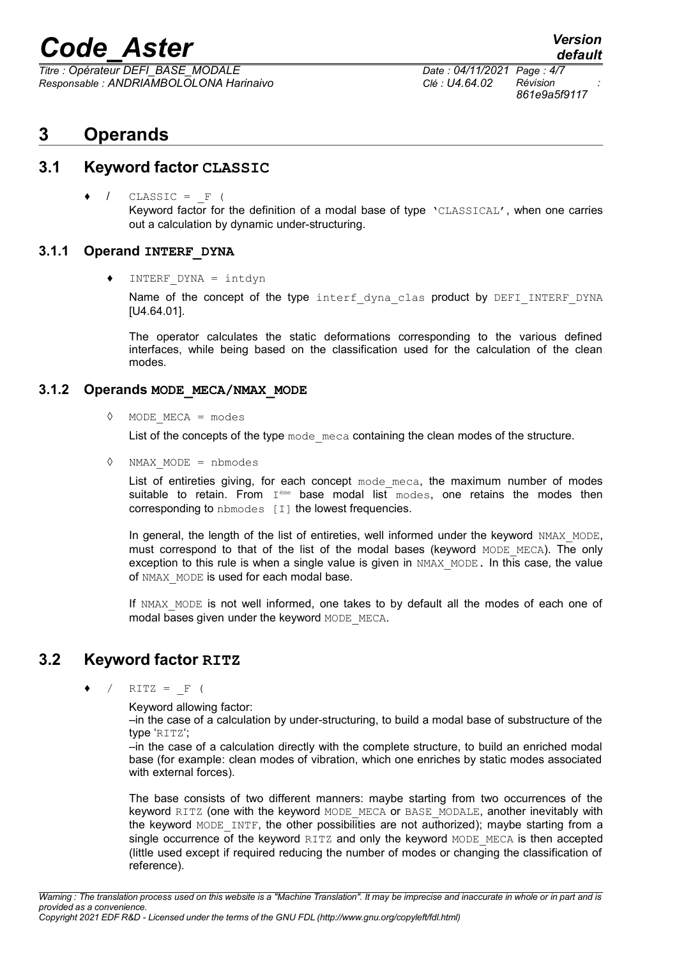*Titre : Opérateur DEFI\_BASE\_MODALE Date : 04/11/2021 Page : 4/7 Responsable : ANDRIAMBOLOLONA Harinaivo Clé : U4.64.02 Révision :*

*861e9a5f9117*

*default*

# <span id="page-3-4"></span>**3 Operands**

### **3.1 Keyword factor CLASSIC**

<span id="page-3-3"></span> $CLASSIC = F ($ Keyword factor for the definition of a modal base of type 'CLASSICAL', when one carries out a calculation by dynamic under-structuring.

#### **3.1.1 Operand INTERF\_DYNA**

<span id="page-3-2"></span> $INTERF$  DYNA = intdyn

Name of the concept of the type interf dyna clas product by DEFI INTERF DYNA [U4.64.01].

The operator calculates the static deformations corresponding to the various defined interfaces, while being based on the classification used for the calculation of the clean modes.

#### **3.1.2 Operands MODE\_MECA/NMAX\_MODE**

<span id="page-3-1"></span>◊ MODE\_MECA = modes

List of the concepts of the type  $\text{mode}$  meca containing the clean modes of the structure.

◊ NMAX\_MODE = nbmodes

List of entireties giving, for each concept  $\text{mode}$  meca, the maximum number of modes suitable to retain. From I<sup>ème</sup> base modal list modes, one retains the modes then corresponding to nbmodes [I] the lowest frequencies.

In general, the length of the list of entireties, well informed under the keyword NMAX MODE, must correspond to that of the list of the modal bases (keyword  $MODE$  MECA). The only exception to this rule is when a single value is given in NMAX MODE. In this case, the value of NMAX MODE is used for each modal base.

If NMAX MODE is not well informed, one takes to by default all the modes of each one of modal bases given under the keyword MODE\_MECA.

# **3.2 Keyword factor RITZ**

<span id="page-3-0"></span>
$$
\bullet \quad / \quad \text{RITZ} = \quad \text{F} \quad (
$$

Keyword allowing factor:

–in the case of a calculation by under-structuring, to build a modal base of substructure of the type 'RITZ';

–in the case of a calculation directly with the complete structure, to build an enriched modal base (for example: clean modes of vibration, which one enriches by static modes associated with external forces).

The base consists of two different manners: maybe starting from two occurrences of the keyword RITZ (one with the keyword MODE\_MECA or BASE\_MODALE, another inevitably with the keyword MODE\_INTF, the other possibilities are not authorized); maybe starting from a single occurrence of the keyword  $RITZ$  and only the keyword MODE MECA is then accepted (little used except if required reducing the number of modes or changing the classification of reference).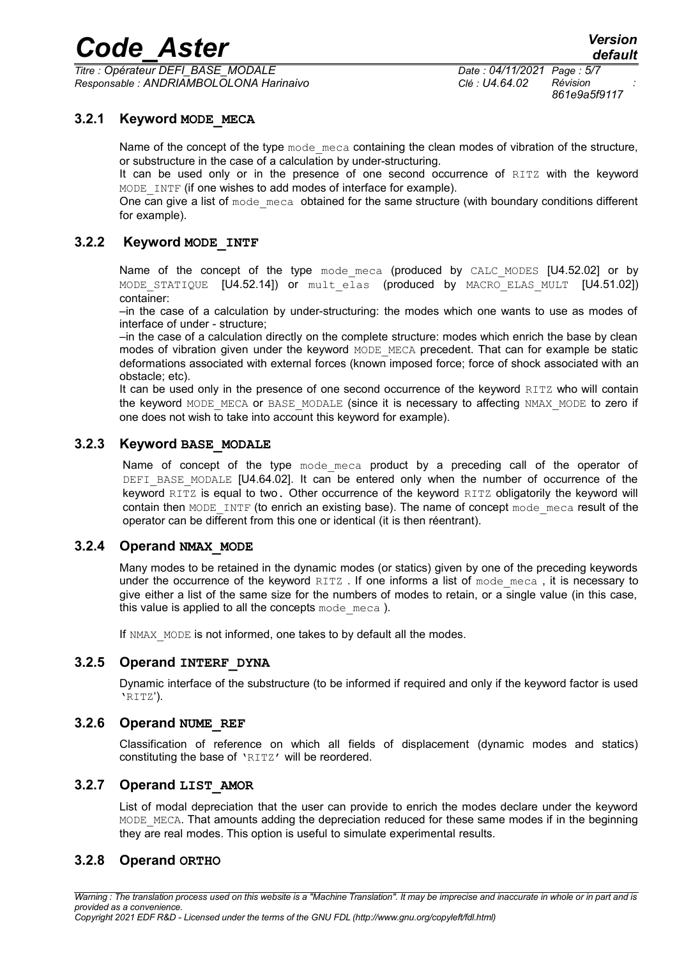*Titre : Opérateur DEFI\_BASE\_MODALE Date : 04/11/2021 Page : 5/7 Responsable : ANDRIAMBOLOLONA Harinaivo Clé : U4.64.02 Révision :*

*861e9a5f9117*

#### **3.2.1 Keyword MODE\_MECA**

<span id="page-4-7"></span>Name of the concept of the type mode meca containing the clean modes of vibration of the structure, or substructure in the case of a calculation by under-structuring.

It can be used only or in the presence of one second occurrence of RITZ with the keyword MODE INTF (if one wishes to add modes of interface for example).

One can give a list of mode meca obtained for the same structure (with boundary conditions different for example).

#### **3.2.2 Keyword MODE\_INTF**

<span id="page-4-6"></span>Name of the concept of the type mode meca (produced by CALC MODES  $[U4.52.02]$  or by MODE STATIQUE [U4.52.14]) or mult elas (produced by MACRO ELAS MULT [U4.51.02]) container:

–in the case of a calculation by under-structuring: the modes which one wants to use as modes of interface of under - structure;

–in the case of a calculation directly on the complete structure: modes which enrich the base by clean modes of vibration given under the keyword MODE MECA precedent. That can for example be static deformations associated with external forces (known imposed force; force of shock associated with an obstacle; etc).

It can be used only in the presence of one second occurrence of the keyword RITZ who will contain the keyword MODE\_MECA or BASE\_MODALE (since it is necessary to affecting NMAX\_MODE to zero if one does not wish to take into account this keyword for example).

#### **3.2.3 Keyword BASE\_MODALE**

<span id="page-4-5"></span>Name of concept of the type mode meca product by a preceding call of the operator of DEFI\_BASE\_MODALE [U4.64.02]. It can be entered only when the number of occurrence of the keyword RITZ is equal to two. Other occurrence of the keyword RITZ obligatorily the keyword will contain then MODE INTF (to enrich an existing base). The name of concept mode meca result of the operator can be different from this one or identical (it is then réentrant).

#### **3.2.4 Operand NMAX\_MODE**

<span id="page-4-4"></span>Many modes to be retained in the dynamic modes (or statics) given by one of the preceding keywords under the occurrence of the keyword RITZ. If one informs a list of mode meca, it is necessary to give either a list of the same size for the numbers of modes to retain, or a single value (in this case, this value is applied to all the concepts  $\text{mode}$  meca ).

If NMAX MODE is not informed, one takes to by default all the modes.

#### **3.2.5 Operand INTERF\_DYNA**

<span id="page-4-3"></span>Dynamic interface of the substructure (to be informed if required and only if the keyword factor is used 'RITZ').

#### **3.2.6 Operand NUME\_REF**

<span id="page-4-2"></span>Classification of reference on which all fields of displacement (dynamic modes and statics) constituting the base of 'RITZ' will be reordered.

#### **3.2.7 Operand LIST\_AMOR**

<span id="page-4-1"></span>List of modal depreciation that the user can provide to enrich the modes declare under the keyword MODE MECA. That amounts adding the depreciation reduced for these same modes if in the beginning they are real modes. This option is useful to simulate experimental results.

#### <span id="page-4-0"></span>**3.2.8 Operand ORTHO**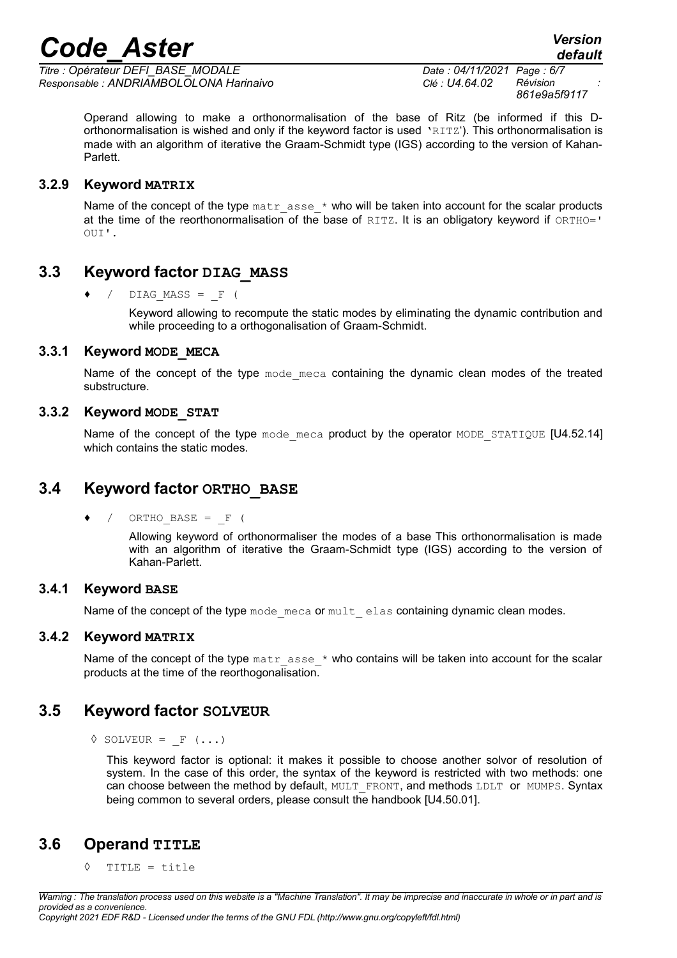*Titre : Opérateur DEFI\_BASE\_MODALE Date : 04/11/2021 Page : 6/7 Responsable : ANDRIAMBOLOLONA Harinaivo Clé : U4.64.02 Révision :*

*861e9a5f9117*

Operand allowing to make a orthonormalisation of the base of Ritz (be informed if this Dorthonormalisation is wished and only if the keyword factor is used 'RITZ'). This orthonormalisation is made with an algorithm of iterative the Graam-Schmidt type (IGS) according to the version of Kahan-Parlett.

#### **3.2.9 Keyword MATRIX**

<span id="page-5-8"></span>Name of the concept of the type  $\text{matrix}$  asse  $*$  who will be taken into account for the scalar products at the time of the reorthonormalisation of the base of RITZ. It is an obligatory keyword if ORTHO=' OUI'.

## **3.3 • Keyword factor DIAG\_MASS**

<span id="page-5-7"></span> $/$  DIAG MASS =  $F$  (

Keyword allowing to recompute the static modes by eliminating the dynamic contribution and while proceeding to a orthogonalisation of Graam-Schmidt.

#### **3.3.1 Keyword MODE\_MECA**

<span id="page-5-6"></span>Name of the concept of the type mode meca containing the dynamic clean modes of the treated substructure.

#### **3.3.2 Keyword MODE\_STAT**

<span id="page-5-5"></span>Name of the concept of the type mode meca product by the operator MODE STATIQUE [U4.52.14] which contains the static modes.

# **3.4 Keyword factor ORTHO\_BASE**

<span id="page-5-4"></span> $\bullet$  / ORTHO BASE =  $\bullet$  (

Allowing keyword of orthonormaliser the modes of a base This orthonormalisation is made with an algorithm of iterative the Graam-Schmidt type (IGS) according to the version of Kahan-Parlett.

#### **3.4.1 Keyword BASE**

<span id="page-5-3"></span>Name of the concept of the type mode meca or mult elas containing dynamic clean modes.

#### **3.4.2 Keyword MATRIX**

<span id="page-5-2"></span>Name of the concept of the type  $\text{matrix}$  asse  $*$  who contains will be taken into account for the scalar products at the time of the reorthogonalisation.

# **3.5 Keyword factor SOLVEUR**

<span id="page-5-1"></span> $\Diamond$  SOLVEUR = F (...)

This keyword factor is optional: it makes it possible to choose another solvor of resolution of system. In the case of this order, the syntax of the keyword is restricted with two methods: one can choose between the method by default, MULT\_FRONT, and methods LDLT\_or MUMPS. Syntax being common to several orders, please consult the handbook [U4.50.01].

# **3.6 Operand TITLE**

<span id="page-5-0"></span>◊ TITLE = title

*Warning : The translation process used on this website is a "Machine Translation". It may be imprecise and inaccurate in whole or in part and is provided as a convenience. Copyright 2021 EDF R&D - Licensed under the terms of the GNU FDL (http://www.gnu.org/copyleft/fdl.html)*